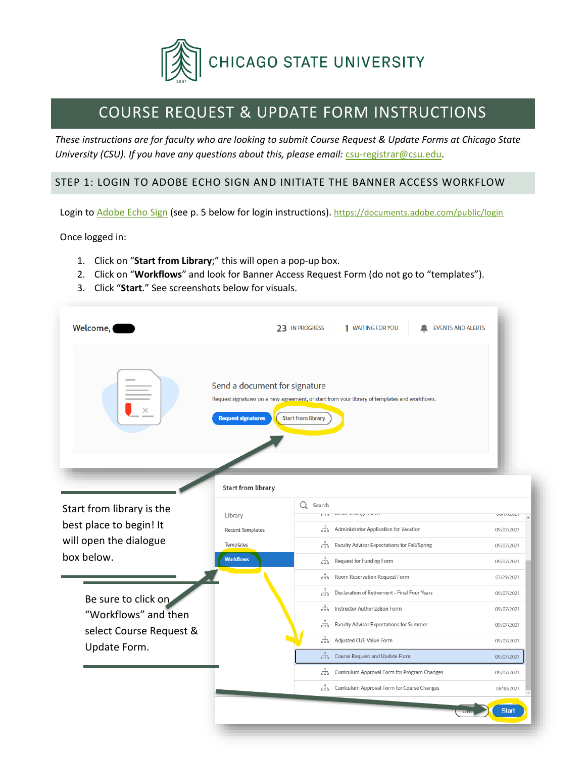

# COURSE REQUEST & UPDATE FORM INSTRUCTIONS

*These instructions are for faculty who are looking to submit Course Request & Update Forms at Chicago State University (CSU). If you have any questions about this, please email: [csu-registrar@csu.edu.](mailto:csu-registrar@csu.edu)* 

## STEP 1: LOGIN TO ADOBE ECHO SIGN AND INITIATE THE BANNER ACCESS WORKFLOW

Login to [Adobe Echo Sign](https://documents.adobe.com/public/login) (see p. 5 below for login instructions). <https://documents.adobe.com/public/login>

Once logged in:

- 1. Click on "**Start from Library**;" this will open a pop-up box.
- 2. Click on "**Workflows**" and look for Banner Access Request Form (do not go to "templates").

m.

3. Click "**Start**." See screenshots below for visuals.

| Welcome,                  |                                                                                  | 1 WAITING FOR YOU<br>23 IN PROGRESS<br><b>EVENTS AND ALERTS</b>                                                            |                   |
|---------------------------|----------------------------------------------------------------------------------|----------------------------------------------------------------------------------------------------------------------------|-------------------|
|                           | Send a document for signature<br><b>Request signatures</b><br>Start from library | Request signatures on a new agreement, or start from your library of templates and workflows.<br><b>Start from library</b> |                   |
| Start from library is the |                                                                                  | Search                                                                                                                     |                   |
| best place to begin! It   | Library                                                                          | Growt Chunge Form<br>000                                                                                                   | <b>VUITILEVET</b> |
| will open the dialogue    | <b>Recent Templates</b>                                                          | 来<br>Administrator Application for Vacation                                                                                | 09/07/2021        |
| box below.                | Templates                                                                        | ቘ<br>Faculty Advisor Expectations for Fall/Spring                                                                          | 09/07/2021        |
|                           | <b>Workflows</b>                                                                 | ਖ਼<br>Request for Funding Form                                                                                             | 09/07/2021        |
|                           |                                                                                  | ᇥ<br>Room Reservation Request Form                                                                                         | 07/29/2021        |
| Be sure to click on       |                                                                                  | 来<br>Declaration of Retirement - Final Four Years                                                                          | 09/07/2021        |
| "Workflows" and then      |                                                                                  | 来<br>Instructor Authorization Form                                                                                         | 09/07/2021        |
| select Course Request &   |                                                                                  | 옮<br>Faculty Advisor Expectations for Summer                                                                               | 09/07/2021        |
| Update Form.              |                                                                                  | ਖ਼<br>Adjusted CUE Value Form                                                                                              | 09/07/2021        |
|                           |                                                                                  | ਖ਼<br>Course Request and Update Form                                                                                       | 09/07/2021        |
|                           |                                                                                  | 볾<br>Curriculum Approval Form for Program Changes                                                                          | 09/07/2021        |
|                           |                                                                                  | 뽃<br>Curriculum Approval Form for Course Changes                                                                           | 08/18/2021        |
|                           |                                                                                  |                                                                                                                            |                   |
|                           |                                                                                  |                                                                                                                            | <b>Start</b>      |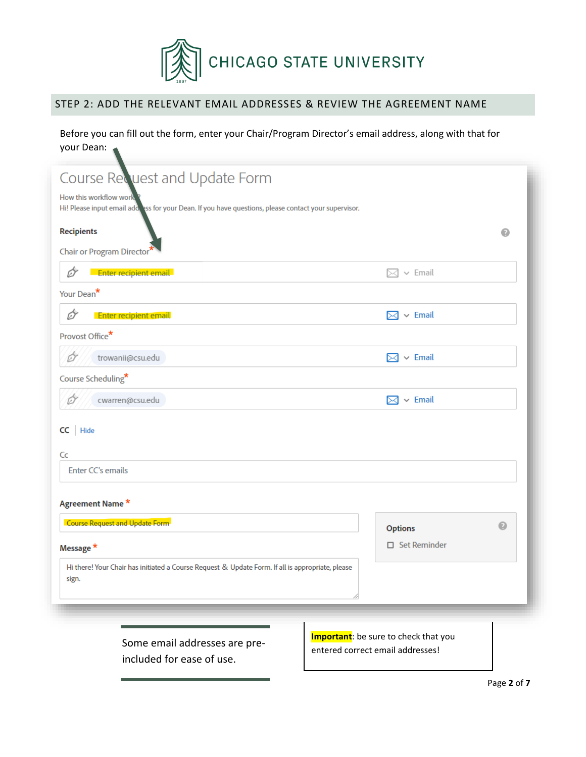

# STEP 2: ADD THE RELEVANT EMAIL ADDRESSES & REVIEW THE AGREEMENT NAME

Before you can fill out the form, enter your Chair/Program Director's email address, along with that for your Dean:

| Course Request and Update Form                                                                                                                 |                            |                  |  |  |
|------------------------------------------------------------------------------------------------------------------------------------------------|----------------------------|------------------|--|--|
| How this workflow work<br>Hi! Please input email add ass for your Dean. If you have questions, please contact your supervisor.                 |                            |                  |  |  |
| <b>Recipients</b>                                                                                                                              |                            | $\bullet$        |  |  |
| Chair or Program Director*                                                                                                                     |                            |                  |  |  |
| Enter recipient email<br>Ò                                                                                                                     | $\vee$ Email<br>⋊          |                  |  |  |
| Your Dean <sup>*</sup>                                                                                                                         |                            |                  |  |  |
| Enter recipient email<br>6)                                                                                                                    | $\boxtimes \backsim$ Email |                  |  |  |
| Provost Office <sup>*</sup>                                                                                                                    |                            |                  |  |  |
| trowanii@csu.edu<br>01                                                                                                                         | $\boxtimes \times$ Email   |                  |  |  |
| Course Scheduling*                                                                                                                             |                            |                  |  |  |
| cwarren@csu.edu<br>Ø                                                                                                                           | $\boxtimes \times$ Email   |                  |  |  |
| CC<br>Hide                                                                                                                                     |                            |                  |  |  |
|                                                                                                                                                |                            |                  |  |  |
| Cc<br><b>Enter CC's emails</b>                                                                                                                 |                            |                  |  |  |
|                                                                                                                                                |                            |                  |  |  |
| Agreement Name*                                                                                                                                |                            |                  |  |  |
| Course Request and Update Form                                                                                                                 | <b>Options</b>             | $\mathbf \Omega$ |  |  |
| Message *                                                                                                                                      | $\Box$ Set Reminder        |                  |  |  |
| Hi there! Your Chair has initiated a Course Request & Update Form. If all is appropriate, please                                               |                            |                  |  |  |
| sign.                                                                                                                                          |                            |                  |  |  |
|                                                                                                                                                |                            |                  |  |  |
|                                                                                                                                                |                            |                  |  |  |
| <b>Important</b> : be sure to check that you<br>Some email addresses are pre-<br>entered correct email addresses!<br>included for ease of use. |                            |                  |  |  |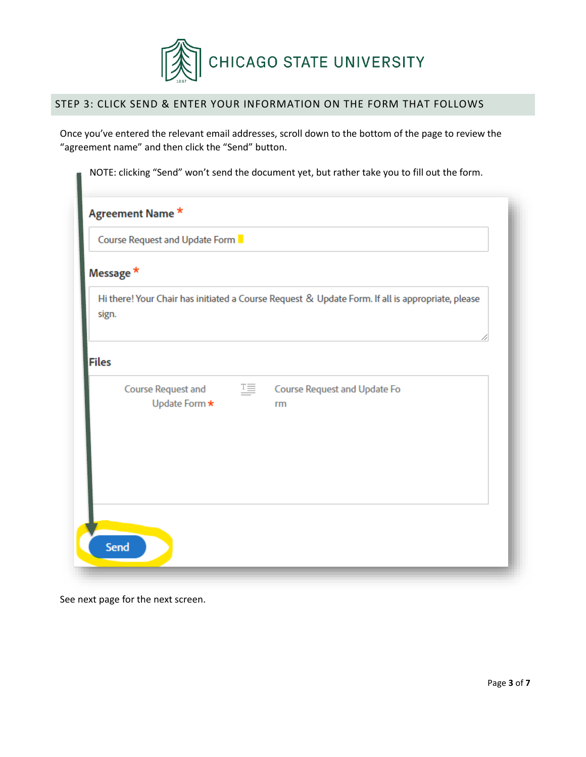

# STEP 3: CLICK SEND & ENTER YOUR INFORMATION ON THE FORM THAT FOLLOWS

Once you've entered the relevant email addresses, scroll down to the bottom of the page to review the "agreement name" and then click the "Send" button.

| Course Request and Update Form      |                                                                                                  |
|-------------------------------------|--------------------------------------------------------------------------------------------------|
| Message *                           |                                                                                                  |
| sign.                               | Hi there! Your Chair has initiated a Course Request & Update Form. If all is appropriate, please |
| <b>Files</b>                        |                                                                                                  |
| Course Request and<br>Update Form * | 또<br>Course Request and Update Fo<br>rm                                                          |
|                                     |                                                                                                  |

See next page for the next screen.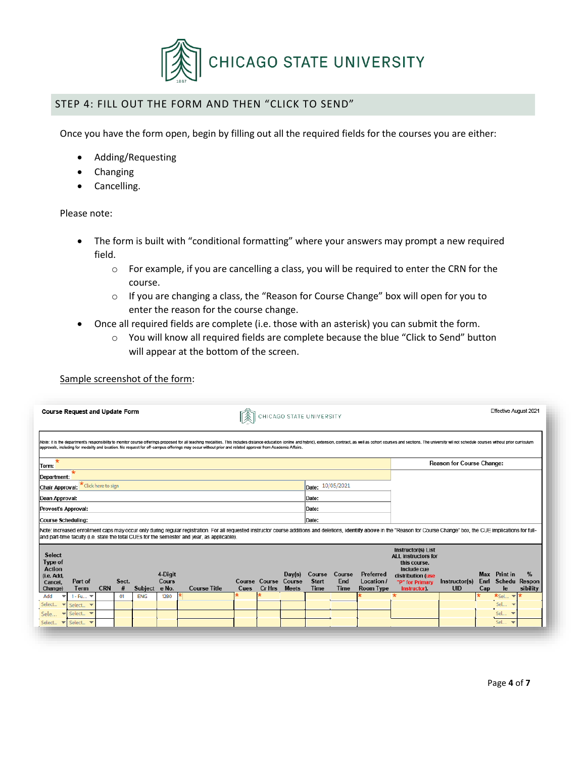

## STEP 4: FILL OUT THE FORM AND THEN "CLICK TO SEND"

Once you have the form open, begin by filling out all the required fields for the courses you are either:

- Adding/Requesting
- **Changing**
- Cancelling.

#### Please note:

- The form is built with "conditional formatting" where your answers may prompt a new required field.
	- o For example, if you are cancelling a class, you will be required to enter the CRN for the course.
	- o If you are changing a class, the "Reason for Course Change" box will open for you to enter the reason for the course change.
- Once all required fields are complete (i.e. those with an asterisk) you can submit the form.
	- $\circ$  You will know all required fields are complete because the blue "Click to Send" button will appear at the bottom of the screen.

| Sample screenshot of the form: |
|--------------------------------|
|--------------------------------|

| <b>Course Request and Update Form</b>                                                                                                                                                                                                                                                                                                                                                     | CHICAGO STATE UNIVERSITY                                         |                                                                       |                                             |                                                                                                                                                |                                  | Effective August 2021                              |                                                   |
|-------------------------------------------------------------------------------------------------------------------------------------------------------------------------------------------------------------------------------------------------------------------------------------------------------------------------------------------------------------------------------------------|------------------------------------------------------------------|-----------------------------------------------------------------------|---------------------------------------------|------------------------------------------------------------------------------------------------------------------------------------------------|----------------------------------|----------------------------------------------------|---------------------------------------------------|
| Note: it is the department's responsibility to monitor course offerings proposed for all teaching modalities. This includes distance education (online and hybrid), extension, contract, as well as cohort courses and section<br>approvals, including for modality and location. No request for off-campus offerings may occur without prior and related approval from Academic Affairs. |                                                                  |                                                                       |                                             |                                                                                                                                                |                                  |                                                    |                                                   |
| $\star$<br>Term:                                                                                                                                                                                                                                                                                                                                                                          |                                                                  |                                                                       |                                             |                                                                                                                                                | <b>Reason for Course Change:</b> |                                                    |                                                   |
| Department:                                                                                                                                                                                                                                                                                                                                                                               |                                                                  |                                                                       |                                             |                                                                                                                                                |                                  |                                                    |                                                   |
| * Click here to sign<br>Chair Approval:                                                                                                                                                                                                                                                                                                                                                   |                                                                  | Date: 10/05/2021                                                      |                                             |                                                                                                                                                |                                  |                                                    |                                                   |
| Dean Approval:                                                                                                                                                                                                                                                                                                                                                                            |                                                                  | Date:                                                                 |                                             |                                                                                                                                                |                                  |                                                    |                                                   |
| Provost's Approval:                                                                                                                                                                                                                                                                                                                                                                       |                                                                  | Date:                                                                 |                                             |                                                                                                                                                |                                  |                                                    |                                                   |
| Course Scheduling:                                                                                                                                                                                                                                                                                                                                                                        |                                                                  | Date:                                                                 |                                             |                                                                                                                                                |                                  |                                                    |                                                   |
| Note: increased enrollment caps may occur only during regular registration. For all requested instructor course additions and deletions, identify above in the "Reason for Course Change" box, the CUE implications for full-                                                                                                                                                             |                                                                  |                                                                       |                                             |                                                                                                                                                |                                  |                                                    |                                                   |
| and part-time faculty (i.e. state the total CUEs for the semester and year, as applicable).                                                                                                                                                                                                                                                                                               |                                                                  |                                                                       |                                             |                                                                                                                                                |                                  |                                                    |                                                   |
| <b>Select</b><br>Type of<br><b>Action</b><br>4-Digit<br>(i.e. Add,<br>Cours<br>Part of<br>Sect.<br>Cancel,<br>#<br>e No.<br><b>CRN</b><br><b>Term</b><br><b>Subject</b><br><b>Course Title</b><br>Change)                                                                                                                                                                                 | Day(s)<br>Course Course Course<br>Cr Hrs<br><b>Meets</b><br>Cues | Course<br>Course<br><b>Start</b><br>End<br><b>Time</b><br><b>Time</b> | Preferred<br>Location /<br><b>Room Type</b> | <b>Instructor(s) List</b><br><b>ALL</b> instructors for<br>this course.<br>Include cue<br>distribution (use<br>"P" for Primary<br>Instructor). | Instructor(s)<br><b>UID</b>      | Max Print in<br>Enrl<br>Cap<br><b>le</b>           | $\frac{9}{6}$<br><b>Schedu Respon</b><br>sibility |
| Add<br>01<br><b>ENG</b><br>1280<br>1 - Fu <b>T</b>                                                                                                                                                                                                                                                                                                                                        |                                                                  |                                                                       |                                             |                                                                                                                                                |                                  | $\star_{\mathsf{Sel}}$<br>$\overline{\phantom{a}}$ |                                                   |
| Select<br>Select. $\blacktriangledown$<br>$\overline{\phantom{a}}$                                                                                                                                                                                                                                                                                                                        |                                                                  |                                                                       |                                             |                                                                                                                                                |                                  | Sel                                                |                                                   |
|                                                                                                                                                                                                                                                                                                                                                                                           |                                                                  |                                                                       |                                             |                                                                                                                                                |                                  | Sel                                                |                                                   |
| Sele.<br>Select<br>$\overline{\phantom{a}}$<br>Select.<br>Select                                                                                                                                                                                                                                                                                                                          |                                                                  |                                                                       |                                             |                                                                                                                                                |                                  | Sel                                                |                                                   |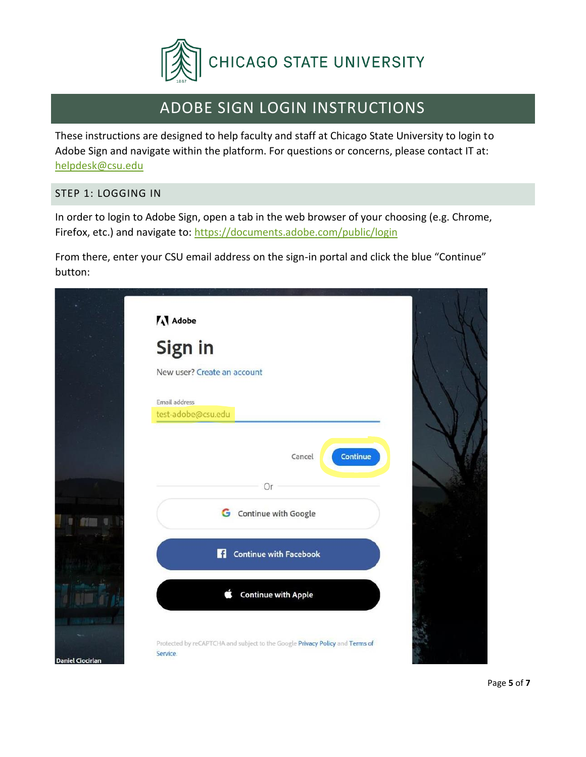

# ADOBE SIGN LOGIN INSTRUCTIONS

These instructions are designed to help faculty and staff at Chicago State University to login to Adobe Sign and navigate within the platform. For questions or concerns, please contact IT at: [helpdesk@csu.edu](mailto:helpdesk@csu.edu)

# STEP 1: LOGGING IN

In order to login to Adobe Sign, open a tab in the web browser of your choosing (e.g. Chrome, Firefox, etc.) and navigate to:<https://documents.adobe.com/public/login>

From there, enter your CSU email address on the sign-in portal and click the blue "Continue" button:

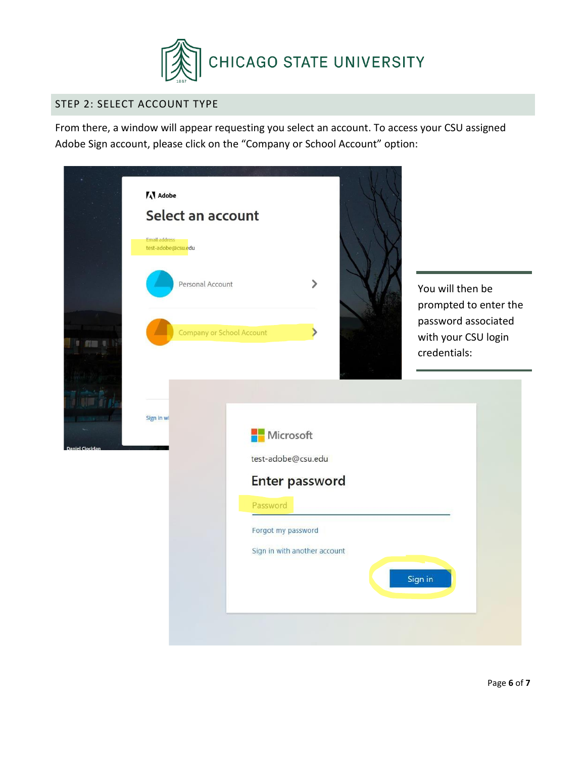

# STEP 2: SELECT ACCOUNT TYPE

From there, a window will appear requesting you select an account. To access your CSU assigned Adobe Sign account, please click on the "Company or School Account" option:

|                        | <b>A</b> Adobe<br>Select an account                                                                                   |
|------------------------|-----------------------------------------------------------------------------------------------------------------------|
|                        | <b>Email address</b><br>test-adobe@csu.edu<br>$\mathcal{P}$<br>Personal Account<br>You will then be                   |
| $n = 1$                | prompted to enter the<br>password associated<br>Company or School Account<br>⋟<br>with your CSU login<br>credentials: |
|                        | Sign in wi<br><b>Microsoft</b>                                                                                        |
| <b>Daniel Ciocirla</b> | test-adobe@csu.edu<br>Enter password                                                                                  |
|                        | Password<br>Forgot my password<br>Sign in with another account                                                        |
|                        | Sign in                                                                                                               |